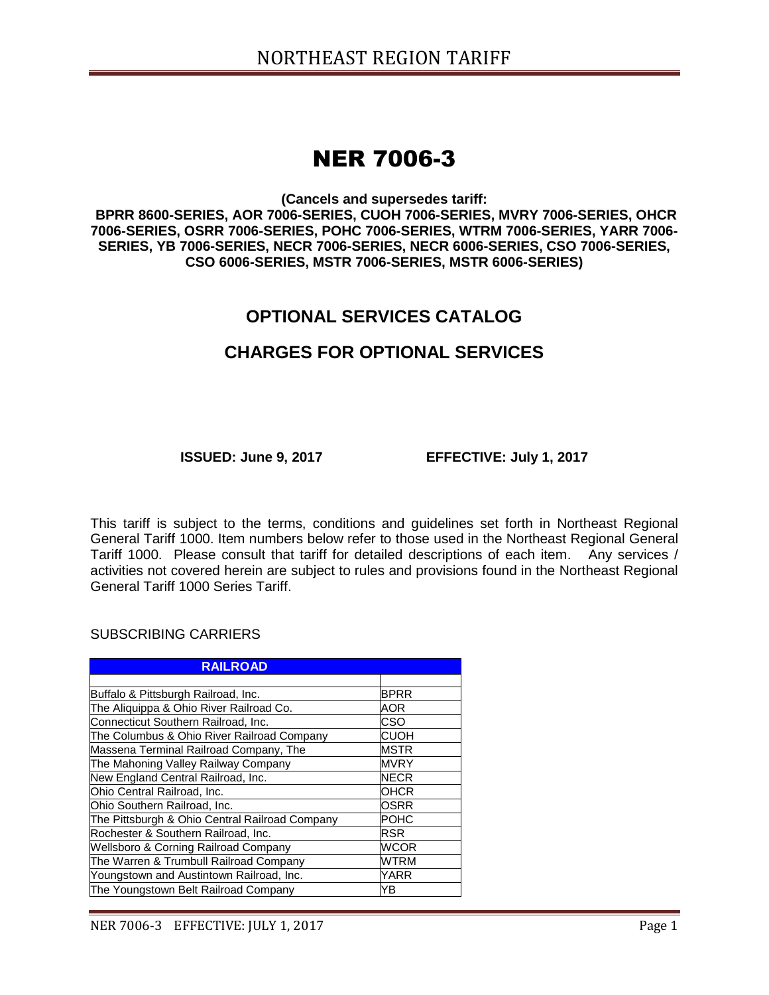# NER 7006-3

**(Cancels and supersedes tariff:**

**BPRR 8600-SERIES, AOR 7006-SERIES, CUOH 7006-SERIES, MVRY 7006-SERIES, OHCR 7006-SERIES, OSRR 7006-SERIES, POHC 7006-SERIES, WTRM 7006-SERIES, YARR 7006- SERIES, YB 7006-SERIES, NECR 7006-SERIES, NECR 6006-SERIES, CSO 7006-SERIES, CSO 6006-SERIES, MSTR 7006-SERIES, MSTR 6006-SERIES)**

## **OPTIONAL SERVICES CATALOG**

### **CHARGES FOR OPTIONAL SERVICES**

**ISSUED: June 9, 2017 EFFECTIVE: July 1, 2017**

This tariff is subject to the terms, conditions and guidelines set forth in Northeast Regional General Tariff 1000. Item numbers below refer to those used in the Northeast Regional General Tariff 1000. Please consult that tariff for detailed descriptions of each item. Any services / activities not covered herein are subject to rules and provisions found in the Northeast Regional General Tariff 1000 Series Tariff.

SUBSCRIBING CARRIERS

| <b>RAILROAD</b>                                |             |
|------------------------------------------------|-------------|
|                                                |             |
| Buffalo & Pittsburgh Railroad, Inc.            | <b>BPRR</b> |
| The Aliquippa & Ohio River Railroad Co.        | AOR         |
| Connecticut Southern Railroad, Inc.            | CSO         |
| The Columbus & Ohio River Railroad Company     | <b>CUOH</b> |
| Massena Terminal Railroad Company, The         | <b>MSTR</b> |
| The Mahoning Valley Railway Company            | <b>MVRY</b> |
| New England Central Railroad, Inc.             | <b>NECR</b> |
| Ohio Central Railroad, Inc.                    | OHCR        |
| Ohio Southern Railroad, Inc.                   | OSRR        |
| The Pittsburgh & Ohio Central Railroad Company | <b>POHC</b> |
| Rochester & Southern Railroad, Inc.            | <b>RSR</b>  |
| Wellsboro & Corning Railroad Company           | <b>WCOR</b> |
| The Warren & Trumbull Railroad Company         | WTRM        |
| Youngstown and Austintown Railroad, Inc.       | YARR        |
| The Youngstown Belt Railroad Company           | YΒ          |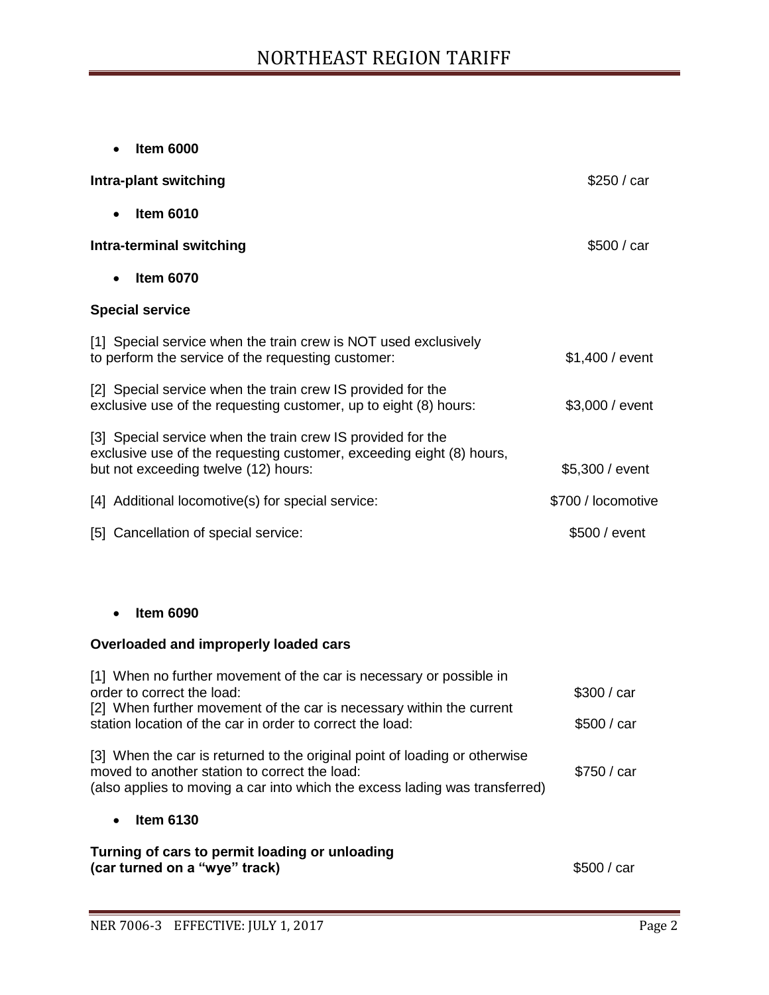**Item 6000**

| Intra-plant switching                                                                                                                                                       | \$250 / car        |
|-----------------------------------------------------------------------------------------------------------------------------------------------------------------------------|--------------------|
| <b>Item 6010</b><br>$\bullet$                                                                                                                                               |                    |
| Intra-terminal switching                                                                                                                                                    | \$500 / car        |
| <b>Item 6070</b>                                                                                                                                                            |                    |
| <b>Special service</b>                                                                                                                                                      |                    |
| [1] Special service when the train crew is NOT used exclusively<br>to perform the service of the requesting customer:                                                       | \$1,400 / event    |
| [2] Special service when the train crew IS provided for the<br>exclusive use of the requesting customer, up to eight (8) hours:                                             | \$3,000 / event    |
| [3] Special service when the train crew IS provided for the<br>exclusive use of the requesting customer, exceeding eight (8) hours,<br>but not exceeding twelve (12) hours: | \$5,300 / event    |
| [4] Additional locomotive(s) for special service:                                                                                                                           | \$700 / locomotive |
| [5] Cancellation of special service:                                                                                                                                        | \$500 / event      |

#### **Item 6090**

#### **Overloaded and improperly loaded cars**

| [1] When no further movement of the car is necessary or possible in<br>order to correct the load:<br>[2] When further movement of the car is necessary within the current<br>station location of the car in order to correct the load: | \$300 / car |
|----------------------------------------------------------------------------------------------------------------------------------------------------------------------------------------------------------------------------------------|-------------|
|                                                                                                                                                                                                                                        | \$500 / car |
| [3] When the car is returned to the original point of loading or otherwise<br>moved to another station to correct the load:<br>(also applies to moving a car into which the excess lading was transferred)                             | \$750 / car |
| <b>Item 6130</b><br>$\bullet$                                                                                                                                                                                                          |             |
| Turning of cars to permit loading or unloading                                                                                                                                                                                         |             |

**(car turned on a "wye" track) S500** / car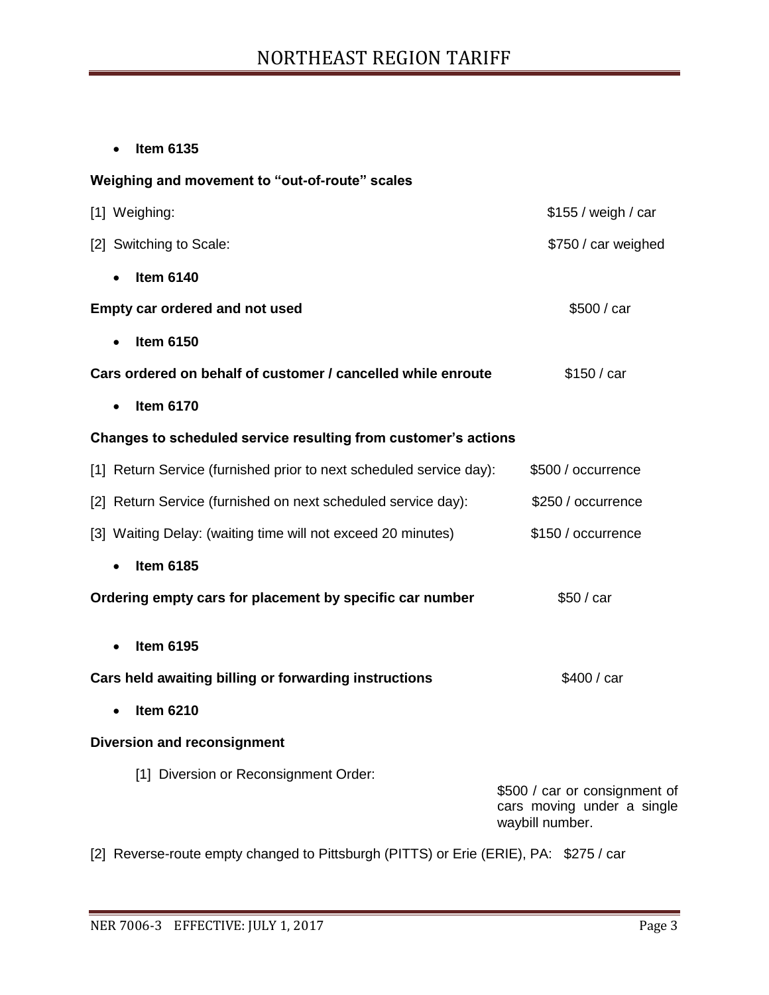**Item 6135**

#### **Weighing and movement to "out-of-route" scales**

| [1] Weighing:                                                       | \$155 / weigh / car                                                            |
|---------------------------------------------------------------------|--------------------------------------------------------------------------------|
| [2] Switching to Scale:                                             | \$750 / car weighed                                                            |
| <b>Item 6140</b>                                                    |                                                                                |
| Empty car ordered and not used                                      | \$500 / car                                                                    |
| <b>Item 6150</b>                                                    |                                                                                |
| Cars ordered on behalf of customer / cancelled while enroute        | \$150 / car                                                                    |
| <b>Item 6170</b><br>$\bullet$                                       |                                                                                |
| Changes to scheduled service resulting from customer's actions      |                                                                                |
| [1] Return Service (furnished prior to next scheduled service day): | \$500 / occurrence                                                             |
| [2] Return Service (furnished on next scheduled service day):       | \$250 / occurrence                                                             |
| [3] Waiting Delay: (waiting time will not exceed 20 minutes)        | \$150 / occurrence                                                             |
| <b>Item 6185</b>                                                    |                                                                                |
| Ordering empty cars for placement by specific car number            | \$50 / car                                                                     |
| <b>Item 6195</b>                                                    |                                                                                |
|                                                                     |                                                                                |
| Cars held awaiting billing or forwarding instructions               | \$400 / car                                                                    |
| <b>Item 6210</b>                                                    |                                                                                |
| <b>Diversion and reconsignment</b>                                  |                                                                                |
| [1] Diversion or Reconsignment Order:                               | \$500 / car or consignment of<br>cars moving under a single<br>waybill number. |

[2] Reverse-route empty changed to Pittsburgh (PITTS) or Erie (ERIE), PA: \$275 / car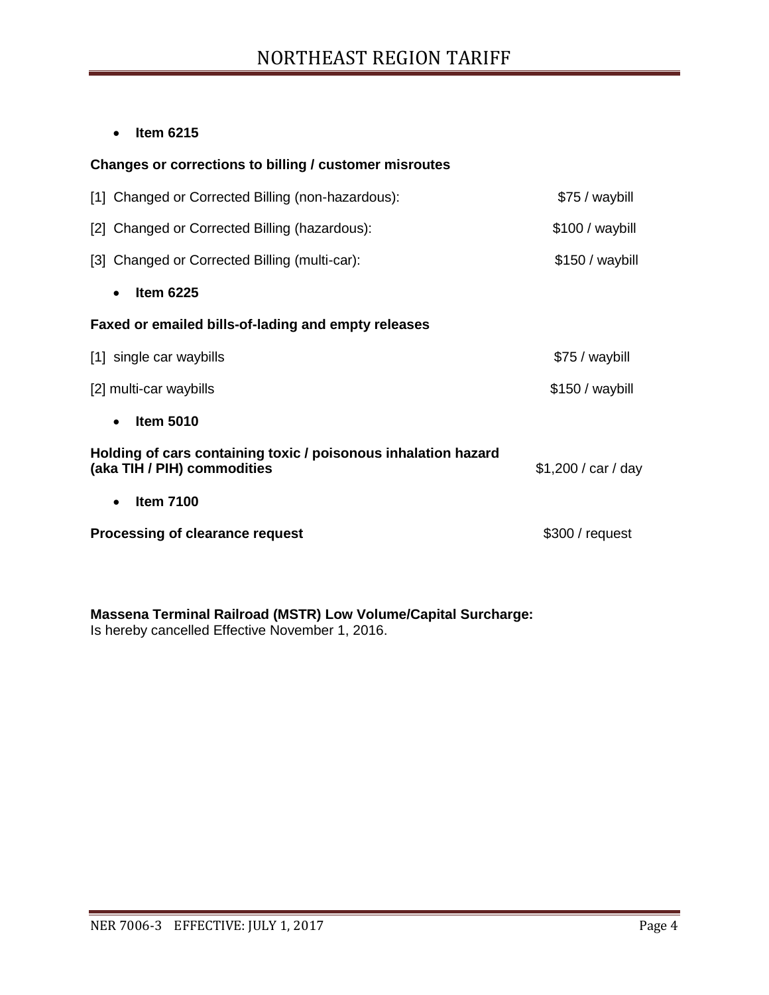## NORTHEAST REGION TARIFF

**Item 6215**

| Changes or corrections to billing / customer misroutes                                        |                     |
|-----------------------------------------------------------------------------------------------|---------------------|
| [1] Changed or Corrected Billing (non-hazardous):                                             | \$75 / waybill      |
| [2] Changed or Corrected Billing (hazardous):                                                 | \$100 / waybill     |
| [3] Changed or Corrected Billing (multi-car):                                                 | $$150 / way$ bill   |
| <b>Item 6225</b><br>$\bullet$                                                                 |                     |
| Faxed or emailed bills-of-lading and empty releases                                           |                     |
| [1] single car waybills                                                                       | \$75 / waybill      |
| [2] multi-car waybills                                                                        | $$150 / way$ bill   |
| <b>Item 5010</b><br>$\bullet$                                                                 |                     |
| Holding of cars containing toxic / poisonous inhalation hazard<br>(aka TIH / PIH) commodities | \$1,200 / car / day |
| <b>Item 7100</b><br>$\bullet$                                                                 |                     |
| Processing of clearance request                                                               | \$300/request       |
|                                                                                               |                     |

**Massena Terminal Railroad (MSTR) Low Volume/Capital Surcharge:** Is hereby cancelled Effective November 1, 2016.